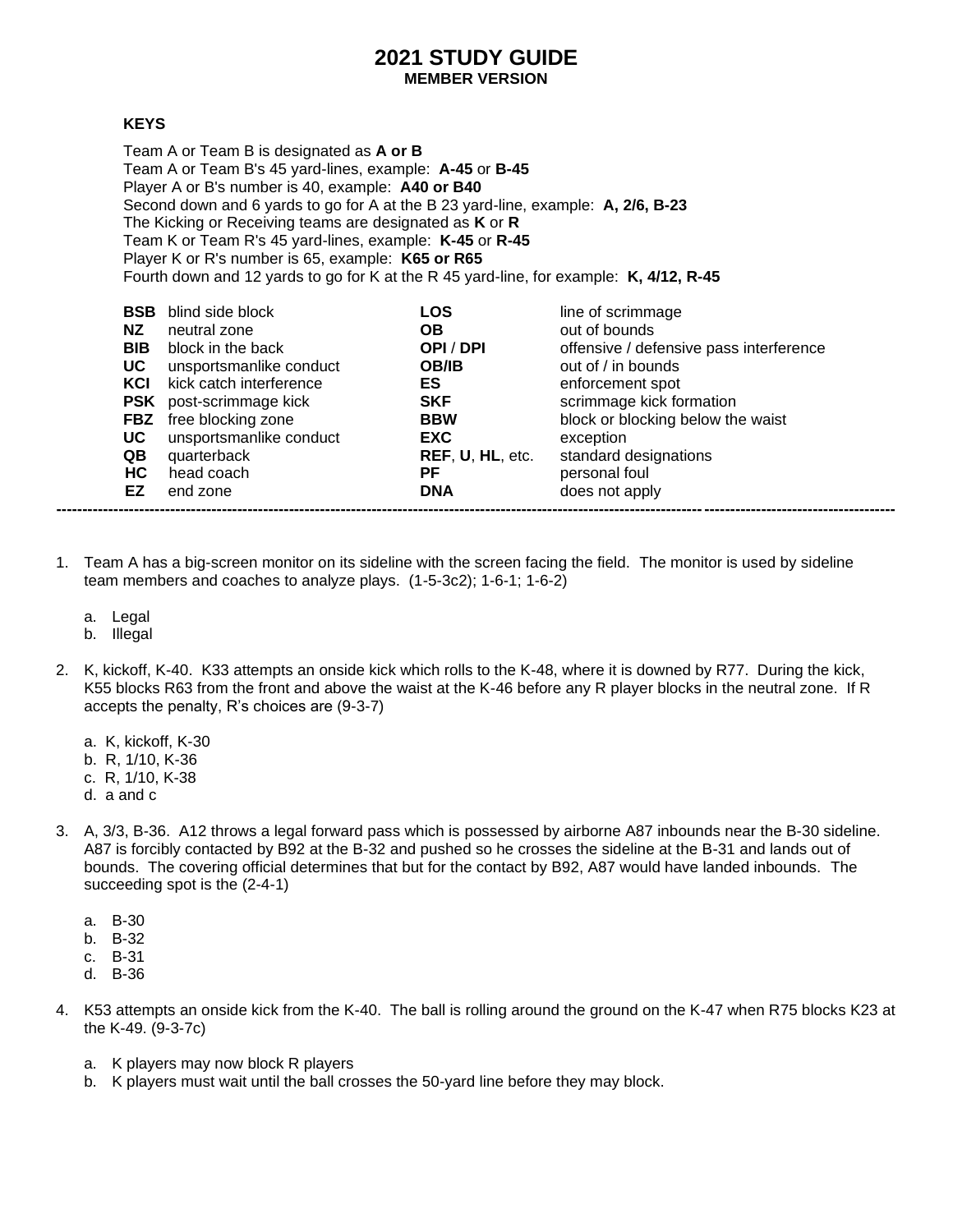## **2021 STUDY GUIDE MEMBER VERSION**

## **KEYS**

Team A or Team B is designated as **A or B** Team A or Team B's 45 yard-lines, example: **A-45** or **B-45** Player A or B's number is 40, example: **A40 or B40** Second down and 6 yards to go for A at the B 23 yard-line, example: **A, 2/6, B-23** The Kicking or Receiving teams are designated as **K** or **R** Team K or Team R's 45 yard-lines, example: **K-45** or **R-45** Player K or R's number is 65, example: **K65 or R65** Fourth down and 12 yards to go for K at the R 45 yard-line, for example: **K, 4/12, R-45**

| <b>BSB</b> | blind side block        | LOS              | line of scrimmage                       |
|------------|-------------------------|------------------|-----------------------------------------|
| NZ.        | neutral zone            | OВ               | out of bounds                           |
| <b>BIB</b> | block in the back       | OPI/DPI          | offensive / defensive pass interference |
| UC         | unsportsmanlike conduct | <b>OB/IB</b>     | out of / in bounds                      |
| KCI        | kick catch interference | ES               | enforcement spot                        |
| PSK        | post-scrimmage kick     | <b>SKF</b>       | scrimmage kick formation                |
| <b>FBZ</b> | free blocking zone      | <b>BBW</b>       | block or blocking below the waist       |
| UC.        | unsportsmanlike conduct | <b>EXC</b>       | exception                               |
| QB         | quarterback             | REF, U, HL, etc. | standard designations                   |
| HC.        | head coach              | РF               | personal foul                           |
| EZ         | end zone                | <b>DNA</b>       | does not apply                          |

- 1. Team A has a big-screen monitor on its sideline with the screen facing the field. The monitor is used by sideline team members and coaches to analyze plays. (1-5-3c2); 1-6-1; 1-6-2)
	- a. Legal
	- b. Illegal
- 2. K, kickoff, K-40. K33 attempts an onside kick which rolls to the K-48, where it is downed by R77. During the kick, K55 blocks R63 from the front and above the waist at the K-46 before any R player blocks in the neutral zone. If R accepts the penalty, R's choices are (9-3-7)
	- a. K, kickoff, K-30
	- b. R, 1/10, K-36
	- c. R, 1/10, K-38
	- d. a and c
- 3. A, 3/3, B-36. A12 throws a legal forward pass which is possessed by airborne A87 inbounds near the B-30 sideline. A87 is forcibly contacted by B92 at the B-32 and pushed so he crosses the sideline at the B-31 and lands out of bounds. The covering official determines that but for the contact by B92, A87 would have landed inbounds. The succeeding spot is the (2-4-1)
	- a. B-30
	- b. B-32
	- c. B-31
	- d. B-36
- 4. K53 attempts an onside kick from the K-40. The ball is rolling around the ground on the K-47 when R75 blocks K23 at the K-49. (9-3-7c)
	- a. K players may now block R players
	- b. K players must wait until the ball crosses the 50-yard line before they may block.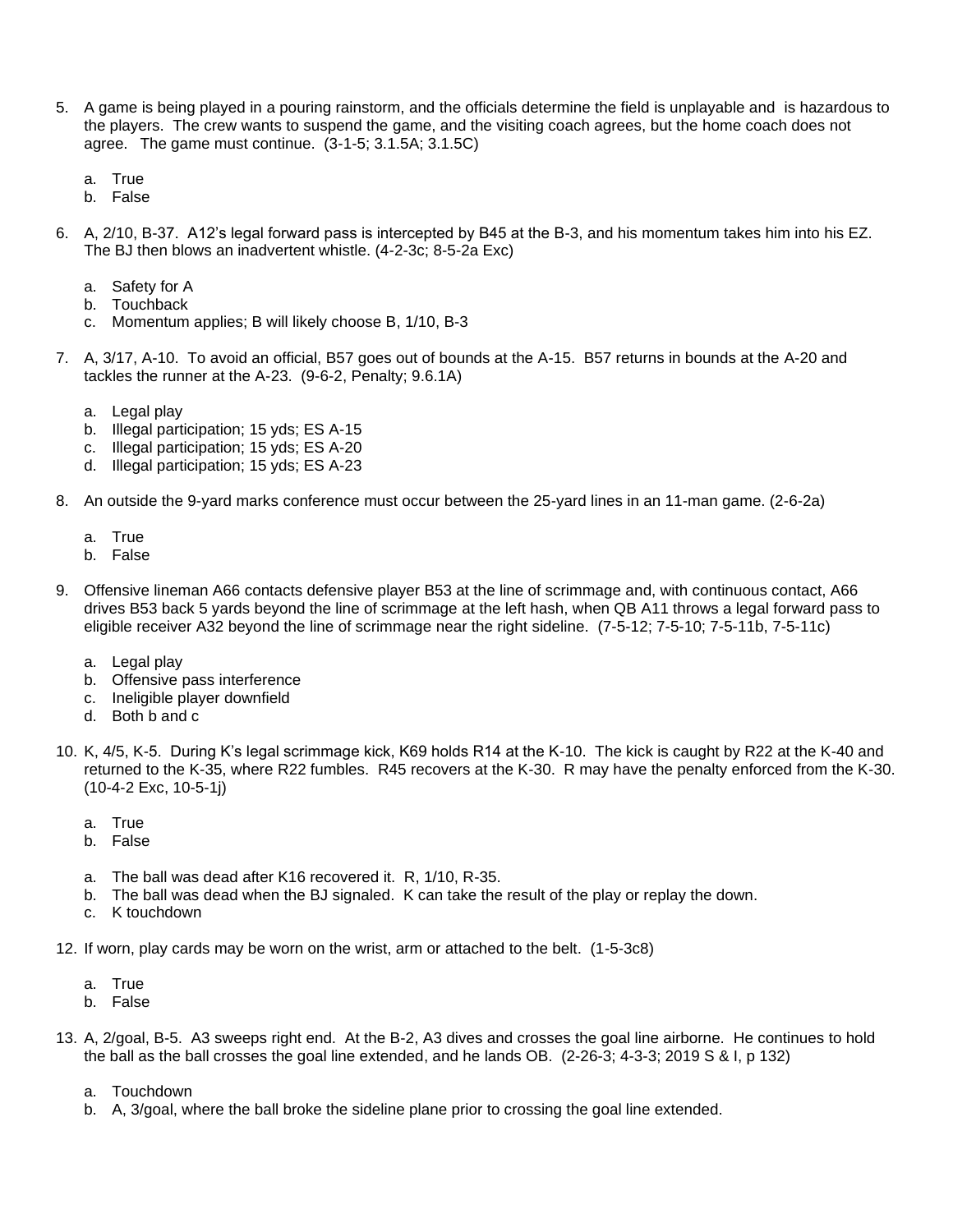- 5. A game is being played in a pouring rainstorm, and the officials determine the field is unplayable and is hazardous to the players. The crew wants to suspend the game, and the visiting coach agrees, but the home coach does not agree. The game must continue. (3-1-5; 3.1.5A; 3.1.5C)
	- a. True
	- b. False
- 6. A, 2/10, B-37. A12's legal forward pass is intercepted by B45 at the B-3, and his momentum takes him into his EZ. The BJ then blows an inadvertent whistle. (4-2-3c; 8-5-2a Exc)
	- a. Safety for A
	- b. Touchback
	- c. Momentum applies; B will likely choose B, 1/10, B-3
- 7. A, 3/17, A-10. To avoid an official, B57 goes out of bounds at the A-15. B57 returns in bounds at the A-20 and tackles the runner at the A-23. (9-6-2, Penalty; 9.6.1A)
	- a. Legal play
	- b. Illegal participation; 15 yds; ES A-15
	- c. Illegal participation; 15 yds; ES A-20
	- d. Illegal participation; 15 yds; ES A-23
- 8. An outside the 9-yard marks conference must occur between the 25-yard lines in an 11-man game. (2-6-2a)
	- a. True
	- b. False
- 9. Offensive lineman A66 contacts defensive player B53 at the line of scrimmage and, with continuous contact, A66 drives B53 back 5 yards beyond the line of scrimmage at the left hash, when QB A11 throws a legal forward pass to eligible receiver A32 beyond the line of scrimmage near the right sideline. (7-5-12; 7-5-10; 7-5-11b, 7-5-11c)
	- a. Legal play
	- b. Offensive pass interference
	- c. Ineligible player downfield
	- d. Both b and c
- 10. K, 4/5, K-5. During K's legal scrimmage kick, K69 holds R14 at the K-10. The kick is caught by R22 at the K-40 and returned to the K-35, where R22 fumbles. R45 recovers at the K-30. R may have the penalty enforced from the K-30. (10-4-2 Exc, 10-5-1j)
	- a. True
	- b. False
	- a. The ball was dead after K16 recovered it. R, 1/10, R-35.
	- b. The ball was dead when the BJ signaled. K can take the result of the play or replay the down.
	- c. K touchdown
- 12. If worn, play cards may be worn on the wrist, arm or attached to the belt. (1-5-3c8)
	- a. True
	- b. False
- 13. A, 2/goal, B-5. A3 sweeps right end. At the B-2, A3 dives and crosses the goal line airborne. He continues to hold the ball as the ball crosses the goal line extended, and he lands OB. (2-26-3; 4-3-3; 2019 S & I, p 132)
	- a. Touchdown
	- b. A, 3/goal, where the ball broke the sideline plane prior to crossing the goal line extended.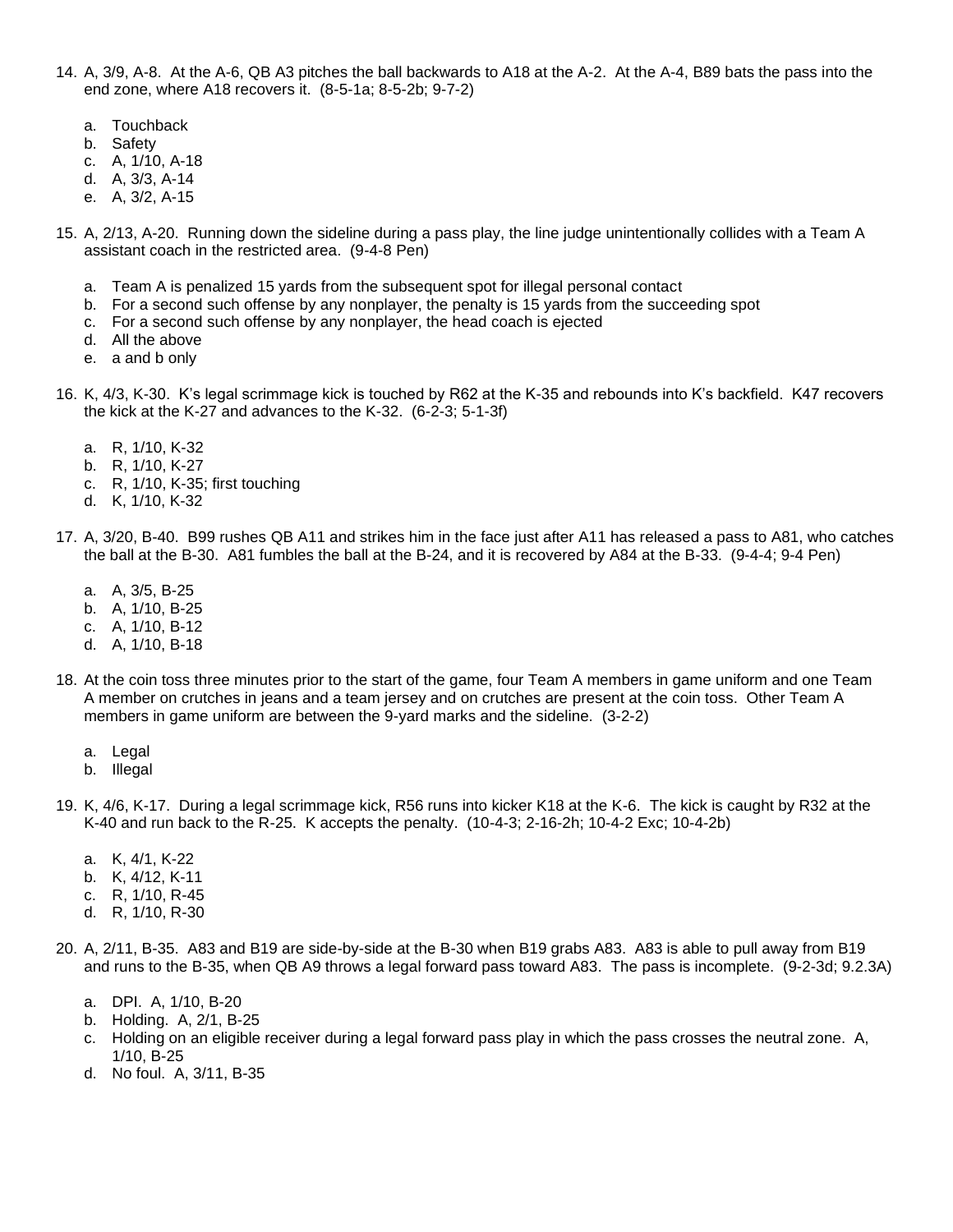- 14. A, 3/9, A-8. At the A-6, QB A3 pitches the ball backwards to A18 at the A-2. At the A-4, B89 bats the pass into the end zone, where A18 recovers it. (8-5-1a; 8-5-2b; 9-7-2)
	- a. Touchback
	- b. Safety
	- c. A, 1/10, A-18
	- d. A, 3/3, A-14
	- e. A, 3/2, A-15
- 15. A, 2/13, A-20. Running down the sideline during a pass play, the line judge unintentionally collides with a Team A assistant coach in the restricted area. (9-4-8 Pen)
	- a. Team A is penalized 15 yards from the subsequent spot for illegal personal contact
	- b. For a second such offense by any nonplayer, the penalty is 15 yards from the succeeding spot
	- c. For a second such offense by any nonplayer, the head coach is ejected
	- d. All the above
	- e. a and b only
- 16. K, 4/3, K-30. K's legal scrimmage kick is touched by R62 at the K-35 and rebounds into K's backfield. K47 recovers the kick at the K-27 and advances to the K-32. (6-2-3; 5-1-3f)
	- a. R, 1/10, K-32
	- b. R, 1/10, K-27
	- c. R, 1/10, K-35; first touching
	- d. K, 1/10, K-32
- 17. A, 3/20, B-40. B99 rushes QB A11 and strikes him in the face just after A11 has released a pass to A81, who catches the ball at the B-30. A81 fumbles the ball at the B-24, and it is recovered by A84 at the B-33. (9-4-4; 9-4 Pen)
	- a. A, 3/5, B-25
	- b. A, 1/10, B-25
	- c. A, 1/10, B-12
	- d. A, 1/10, B-18
- 18. At the coin toss three minutes prior to the start of the game, four Team A members in game uniform and one Team A member on crutches in jeans and a team jersey and on crutches are present at the coin toss. Other Team A members in game uniform are between the 9-yard marks and the sideline. (3-2-2)
	- a. Legal
	- b. Illegal
- 19. K, 4/6, K-17. During a legal scrimmage kick, R56 runs into kicker K18 at the K-6. The kick is caught by R32 at the K-40 and run back to the R-25. K accepts the penalty. (10-4-3; 2-16-2h; 10-4-2 Exc; 10-4-2b)
	- a. K, 4/1, K-22
	- b. K, 4/12, K-11
	- c. R, 1/10, R-45
	- d. R, 1/10, R-30
- 20. A, 2/11, B-35. A83 and B19 are side-by-side at the B-30 when B19 grabs A83. A83 is able to pull away from B19 and runs to the B-35, when QB A9 throws a legal forward pass toward A83. The pass is incomplete. (9-2-3d; 9.2.3A)
	- a. DPI. A, 1/10, B-20
	- b. Holding. A, 2/1, B-25
	- c. Holding on an eligible receiver during a legal forward pass play in which the pass crosses the neutral zone. A, 1/10, B-25
	- d. No foul. A, 3/11, B-35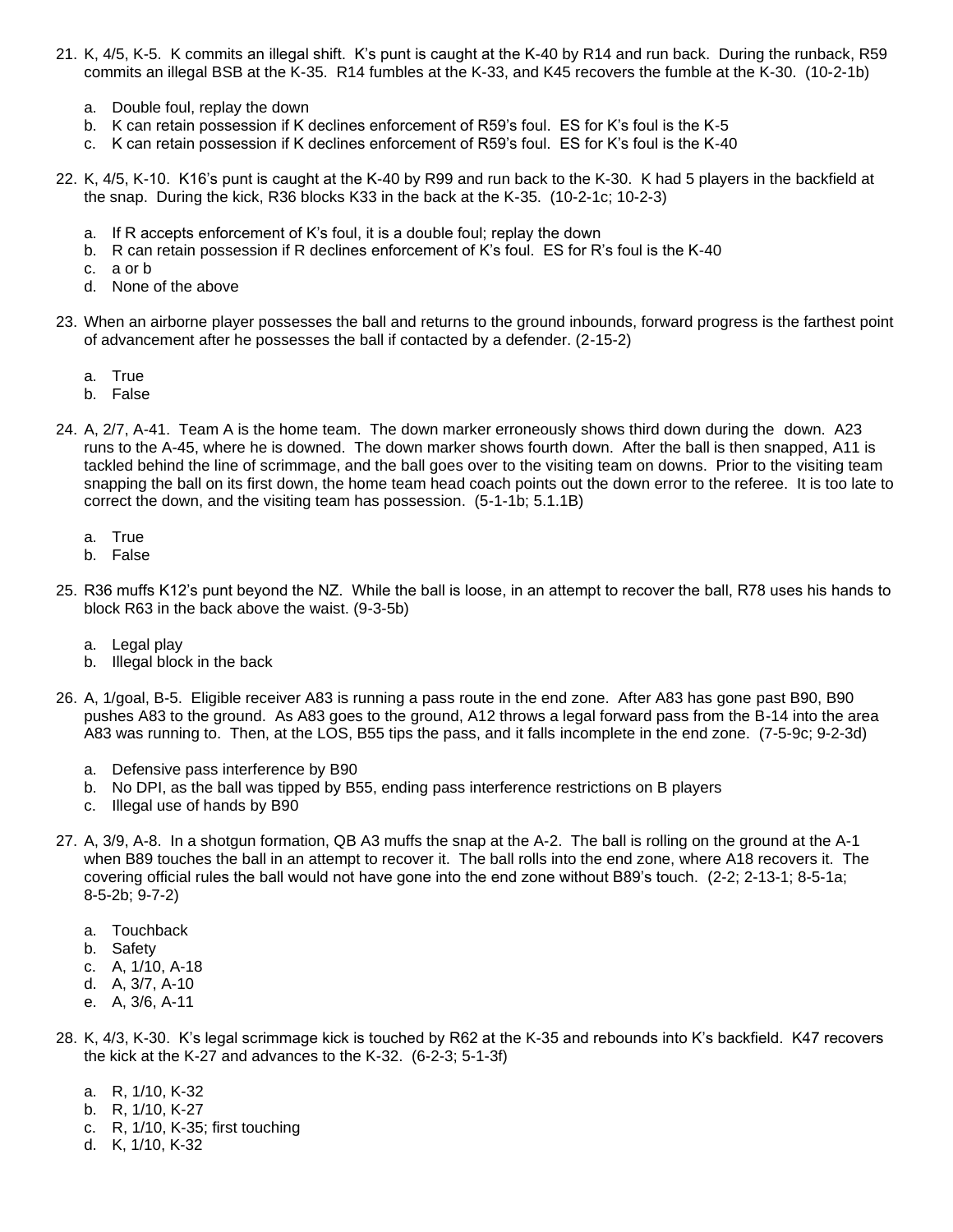- 21. K, 4/5, K-5. K commits an illegal shift. K's punt is caught at the K-40 by R14 and run back. During the runback, R59 commits an illegal BSB at the K-35. R14 fumbles at the K-33, and K45 recovers the fumble at the K-30. (10-2-1b)
	- a. Double foul, replay the down
	- b. K can retain possession if K declines enforcement of R59's foul. ES for K's foul is the K-5
	- c. K can retain possession if K declines enforcement of R59's foul. ES for K's foul is the K-40
- 22. K, 4/5, K-10. K16's punt is caught at the K-40 by R99 and run back to the K-30. K had 5 players in the backfield at the snap. During the kick, R36 blocks K33 in the back at the K-35. (10-2-1c; 10-2-3)
	- a. If R accepts enforcement of K's foul, it is a double foul; replay the down
	- b. R can retain possession if R declines enforcement of K's foul. ES for R's foul is the K-40
	- c. a or b
	- d. None of the above
- 23. When an airborne player possesses the ball and returns to the ground inbounds, forward progress is the farthest point of advancement after he possesses the ball if contacted by a defender. (2-15-2)
	- a. True
	- b. False
- 24. A, 2/7, A-41. Team A is the home team. The down marker erroneously shows third down during the down. A23 runs to the A-45, where he is downed. The down marker shows fourth down. After the ball is then snapped, A11 is tackled behind the line of scrimmage, and the ball goes over to the visiting team on downs. Prior to the visiting team snapping the ball on its first down, the home team head coach points out the down error to the referee. It is too late to correct the down, and the visiting team has possession. (5-1-1b; 5.1.1B)
	- a. True
	- b. False
- 25. R36 muffs K12's punt beyond the NZ. While the ball is loose, in an attempt to recover the ball, R78 uses his hands to block R63 in the back above the waist. (9-3-5b)
	- a. Legal play
	- b. Illegal block in the back
- 26. A, 1/goal, B-5. Eligible receiver A83 is running a pass route in the end zone. After A83 has gone past B90, B90 pushes A83 to the ground. As A83 goes to the ground, A12 throws a legal forward pass from the B-14 into the area A83 was running to. Then, at the LOS, B55 tips the pass, and it falls incomplete in the end zone. (7-5-9c; 9-2-3d)
	- a. Defensive pass interference by B90
	- b. No DPI, as the ball was tipped by B55, ending pass interference restrictions on B players
	- c. Illegal use of hands by B90
- 27. A, 3/9, A-8. In a shotgun formation, QB A3 muffs the snap at the A-2. The ball is rolling on the ground at the A-1 when B89 touches the ball in an attempt to recover it. The ball rolls into the end zone, where A18 recovers it. The covering official rules the ball would not have gone into the end zone without B89's touch. (2-2; 2-13-1; 8-5-1a; 8-5-2b; 9-7-2)
	- a. Touchback
	- b. Safety
	- c. A, 1/10, A-18
	- d. A, 3/7, A-10
	- e. A, 3/6, A-11
- 28. K, 4/3, K-30. K's legal scrimmage kick is touched by R62 at the K-35 and rebounds into K's backfield. K47 recovers the kick at the K-27 and advances to the K-32. (6-2-3; 5-1-3f)
	- a. R, 1/10, K-32
	- b. R, 1/10, K-27
	- c. R, 1/10, K-35; first touching
	- d. K, 1/10, K-32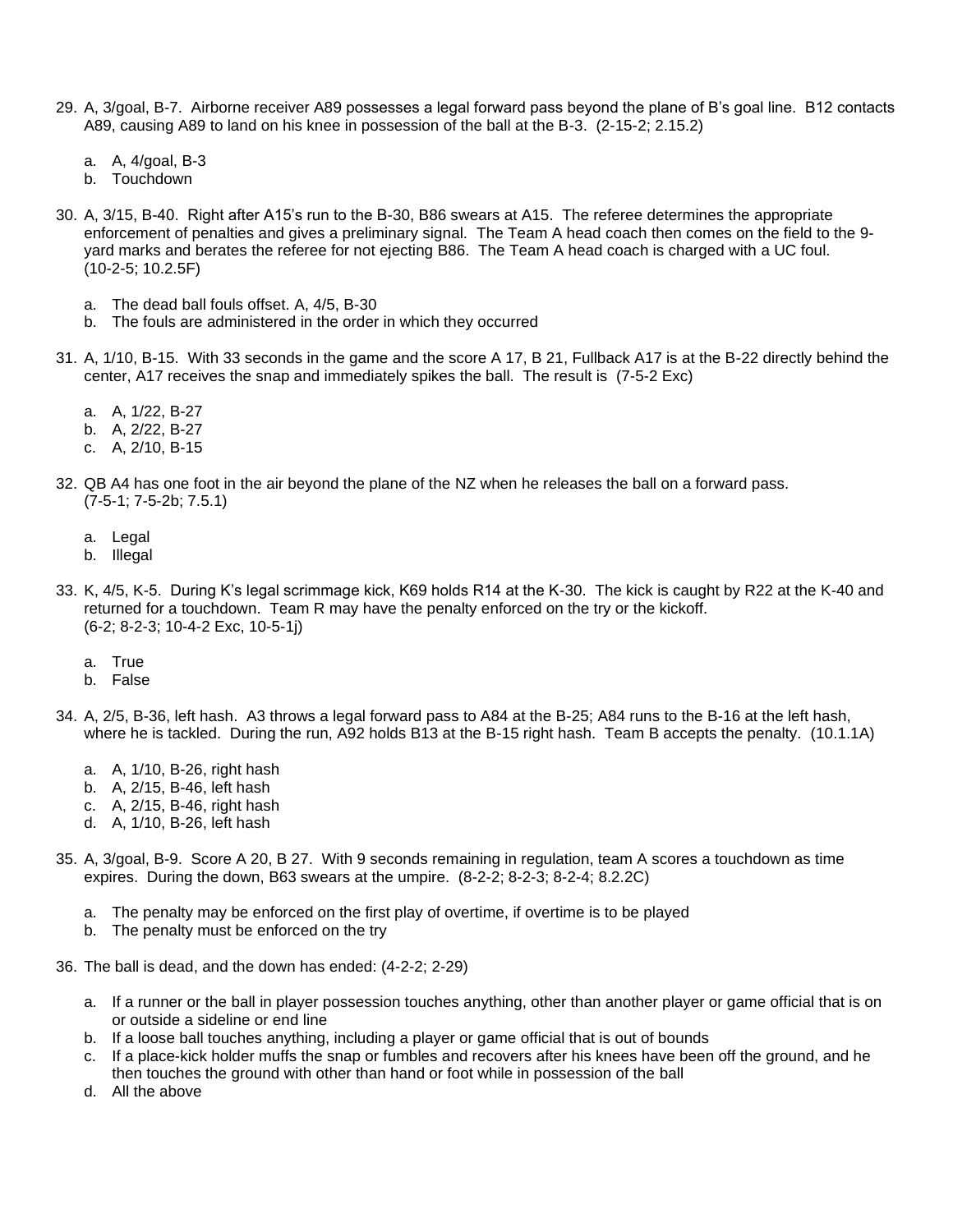- 29. A, 3/goal, B-7. Airborne receiver A89 possesses a legal forward pass beyond the plane of B's goal line. B12 contacts A89, causing A89 to land on his knee in possession of the ball at the B-3. (2-15-2; 2.15.2)
	- a. A, 4/goal, B-3
	- b. Touchdown
- 30. A, 3/15, B-40. Right after A15's run to the B-30, B86 swears at A15. The referee determines the appropriate enforcement of penalties and gives a preliminary signal. The Team A head coach then comes on the field to the 9 yard marks and berates the referee for not ejecting B86. The Team A head coach is charged with a UC foul. (10-2-5; 10.2.5F)
	- a. The dead ball fouls offset. A, 4/5, B-30
	- b. The fouls are administered in the order in which they occurred
- 31. A, 1/10, B-15. With 33 seconds in the game and the score A 17, B 21, Fullback A17 is at the B-22 directly behind the center, A17 receives the snap and immediately spikes the ball. The result is (7-5-2 Exc)
	- a. A, 1/22, B-27
	- b. A, 2/22, B-27
	- c. A, 2/10, B-15
- 32. QB A4 has one foot in the air beyond the plane of the NZ when he releases the ball on a forward pass. (7-5-1; 7-5-2b; 7.5.1)
	- a. Legal
	- b. Illegal
- 33. K, 4/5, K-5. During K's legal scrimmage kick, K69 holds R14 at the K-30. The kick is caught by R22 at the K-40 and returned for a touchdown. Team R may have the penalty enforced on the try or the kickoff. (6-2; 8-2-3; 10-4-2 Exc, 10-5-1j)
	- a. True
	- b. False
- 34. A, 2/5, B-36, left hash. A3 throws a legal forward pass to A84 at the B-25; A84 runs to the B-16 at the left hash, where he is tackled. During the run, A92 holds B13 at the B-15 right hash. Team B accepts the penalty. (10.1.1A)
	- a. A, 1/10, B-26, right hash
	- b. A, 2/15, B-46, left hash
	- c. A, 2/15, B-46, right hash
	- d. A, 1/10, B-26, left hash
- 35. A, 3/goal, B-9. Score A 20, B 27. With 9 seconds remaining in regulation, team A scores a touchdown as time expires. During the down, B63 swears at the umpire. (8-2-2; 8-2-3; 8-2-4; 8.2.2C)
	- a. The penalty may be enforced on the first play of overtime, if overtime is to be played
	- b. The penalty must be enforced on the try
- 36. The ball is dead, and the down has ended: (4-2-2; 2-29)
	- a. If a runner or the ball in player possession touches anything, other than another player or game official that is on or outside a sideline or end line
	- b. If a loose ball touches anything, including a player or game official that is out of bounds
	- c. If a place-kick holder muffs the snap or fumbles and recovers after his knees have been off the ground, and he then touches the ground with other than hand or foot while in possession of the ball
	- d. All the above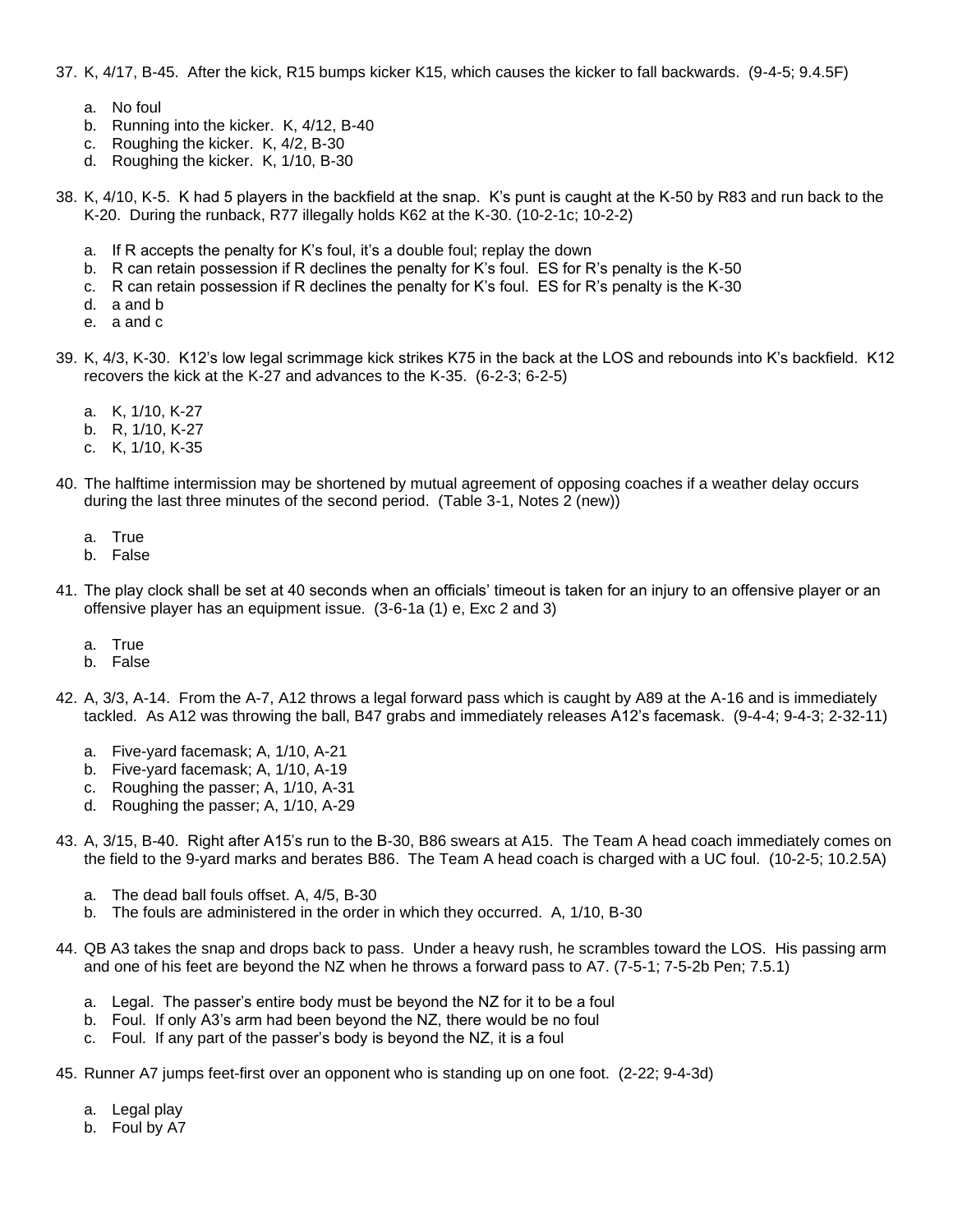37. K, 4/17, B-45. After the kick, R15 bumps kicker K15, which causes the kicker to fall backwards. (9-4-5; 9.4.5F)

- a. No foul
- b. Running into the kicker. K, 4/12, B-40
- c. Roughing the kicker. K, 4/2, B-30
- d. Roughing the kicker. K, 1/10, B-30
- 38. K, 4/10, K-5. K had 5 players in the backfield at the snap. K's punt is caught at the K-50 by R83 and run back to the K-20. During the runback, R77 illegally holds K62 at the K-30. (10-2-1c; 10-2-2)
	- a. If R accepts the penalty for K's foul, it's a double foul; replay the down
	- b. R can retain possession if R declines the penalty for K's foul. ES for R's penalty is the K-50
	- c. R can retain possession if R declines the penalty for K's foul. ES for R's penalty is the K-30
	- d. a and b
	- e. a and c
- 39. K, 4/3, K-30. K12's low legal scrimmage kick strikes K75 in the back at the LOS and rebounds into K's backfield. K12 recovers the kick at the K-27 and advances to the K-35. (6-2-3; 6-2-5)
	- a. K, 1/10, K-27
	- b. R, 1/10, K-27
	- c. K, 1/10, K-35
- 40. The halftime intermission may be shortened by mutual agreement of opposing coaches if a weather delay occurs during the last three minutes of the second period. (Table 3-1, Notes 2 (new))
	- a. True
	- b. False
- 41. The play clock shall be set at 40 seconds when an officials' timeout is taken for an injury to an offensive player or an offensive player has an equipment issue. (3-6-1a (1) e, Exc 2 and 3)
	- a. True
	- b. False
- 42. A, 3/3, A-14. From the A-7, A12 throws a legal forward pass which is caught by A89 at the A-16 and is immediately tackled. As A12 was throwing the ball, B47 grabs and immediately releases A12's facemask. (9-4-4; 9-4-3; 2-32-11)
	- a. Five-yard facemask; A, 1/10, A-21
	- b. Five-yard facemask; A, 1/10, A-19
	- c. Roughing the passer; A, 1/10, A-31
	- d. Roughing the passer; A, 1/10, A-29
- 43. A, 3/15, B-40. Right after A15's run to the B-30, B86 swears at A15. The Team A head coach immediately comes on the field to the 9-yard marks and berates B86. The Team A head coach is charged with a UC foul. (10-2-5; 10.2.5A)
	- a. The dead ball fouls offset. A, 4/5, B-30
	- b. The fouls are administered in the order in which they occurred. A, 1/10, B-30
- 44. QB A3 takes the snap and drops back to pass. Under a heavy rush, he scrambles toward the LOS. His passing arm and one of his feet are beyond the NZ when he throws a forward pass to A7. (7-5-1; 7-5-2b Pen; 7.5.1)
	- a. Legal. The passer's entire body must be beyond the NZ for it to be a foul
	- b. Foul. If only A3's arm had been beyond the NZ, there would be no foul
	- c. Foul. If any part of the passer's body is beyond the NZ, it is a foul
- 45. Runner A7 jumps feet-first over an opponent who is standing up on one foot. (2-22; 9-4-3d)
	- a. Legal play
	- b. Foul by A7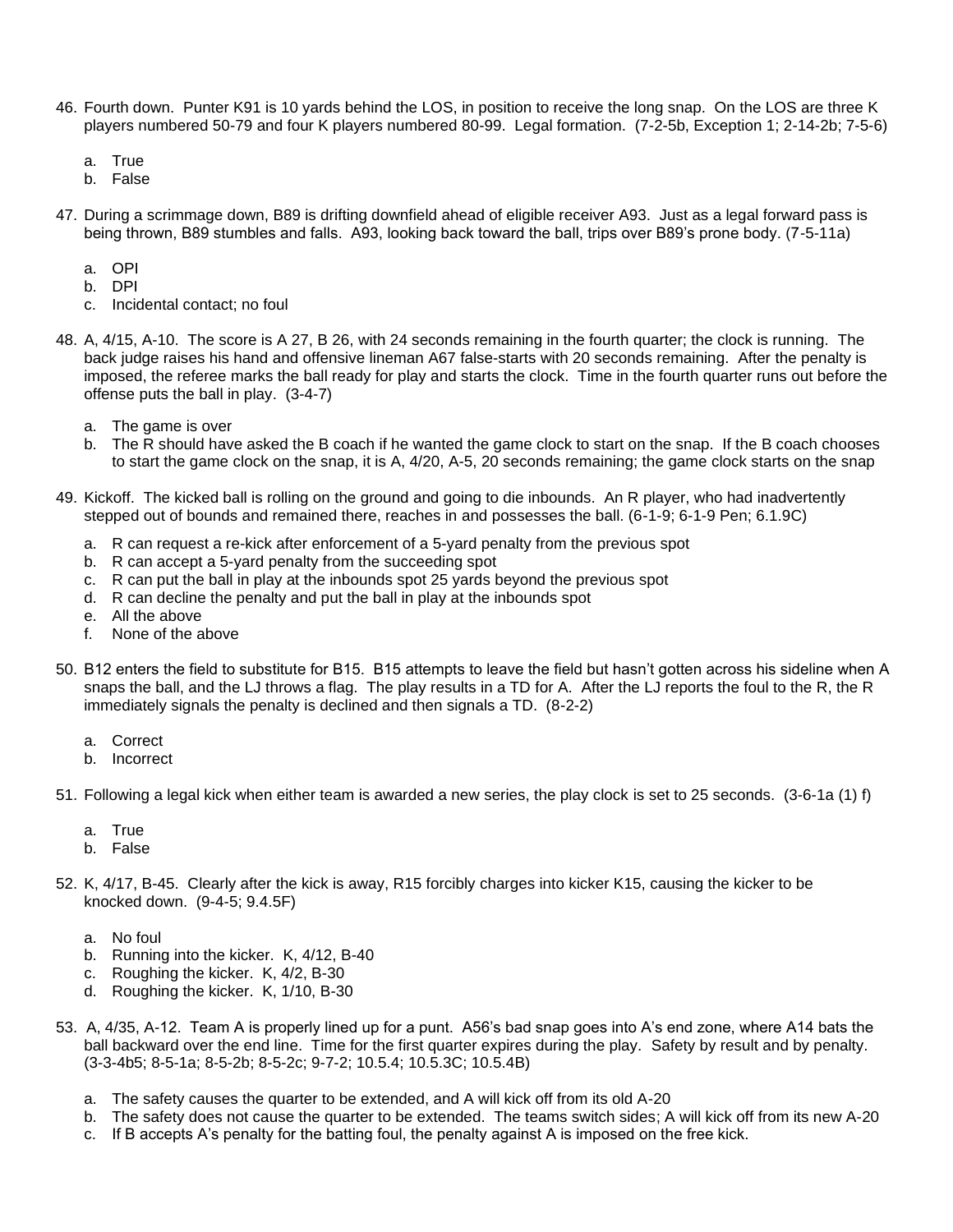- 46. Fourth down. Punter K91 is 10 yards behind the LOS, in position to receive the long snap. On the LOS are three K players numbered 50-79 and four K players numbered 80-99. Legal formation. (7-2-5b, Exception 1; 2-14-2b; 7-5-6)
	- a. True
	- b. False
- 47. During a scrimmage down, B89 is drifting downfield ahead of eligible receiver A93. Just as a legal forward pass is being thrown, B89 stumbles and falls. A93, looking back toward the ball, trips over B89's prone body. (7-5-11a)
	- a. OPI
	- b. DPI
	- c. Incidental contact; no foul
- 48. A, 4/15, A-10. The score is A 27, B 26, with 24 seconds remaining in the fourth quarter; the clock is running. The back judge raises his hand and offensive lineman A67 false-starts with 20 seconds remaining. After the penalty is imposed, the referee marks the ball ready for play and starts the clock. Time in the fourth quarter runs out before the offense puts the ball in play. (3-4-7)
	- a. The game is over
	- b. The R should have asked the B coach if he wanted the game clock to start on the snap. If the B coach chooses to start the game clock on the snap, it is A, 4/20, A-5, 20 seconds remaining; the game clock starts on the snap
- 49. Kickoff. The kicked ball is rolling on the ground and going to die inbounds. An R player, who had inadvertently stepped out of bounds and remained there, reaches in and possesses the ball. (6-1-9; 6-1-9 Pen; 6.1.9C)
	- a. R can request a re-kick after enforcement of a 5-yard penalty from the previous spot
	- b. R can accept a 5-yard penalty from the succeeding spot
	- c. R can put the ball in play at the inbounds spot 25 yards beyond the previous spot
	- d. R can decline the penalty and put the ball in play at the inbounds spot
	- e. All the above
	- f. None of the above
- 50. B12 enters the field to substitute for B15. B15 attempts to leave the field but hasn't gotten across his sideline when A snaps the ball, and the LJ throws a flag. The play results in a TD for A. After the LJ reports the foul to the R, the R immediately signals the penalty is declined and then signals a TD. (8-2-2)
	- a. Correct
	- b. Incorrect
- 51. Following a legal kick when either team is awarded a new series, the play clock is set to 25 seconds. (3-6-1a (1) f)
	- a. True
	- b. False
- 52. K, 4/17, B-45. Clearly after the kick is away, R15 forcibly charges into kicker K15, causing the kicker to be knocked down. (9-4-5; 9.4.5F)
	- a. No foul
	- b. Running into the kicker. K, 4/12, B-40
	- c. Roughing the kicker. K, 4/2, B-30
	- d. Roughing the kicker. K, 1/10, B-30
- 53. A, 4/35, A-12. Team A is properly lined up for a punt. A56's bad snap goes into A's end zone, where A14 bats the ball backward over the end line. Time for the first quarter expires during the play. Safety by result and by penalty. (3-3-4b5; 8-5-1a; 8-5-2b; 8-5-2c; 9-7-2; 10.5.4; 10.5.3C; 10.5.4B)
	- a. The safety causes the quarter to be extended, and A will kick off from its old A-20
	- b. The safety does not cause the quarter to be extended. The teams switch sides; A will kick off from its new A-20
	- c. If B accepts A's penalty for the batting foul, the penalty against A is imposed on the free kick.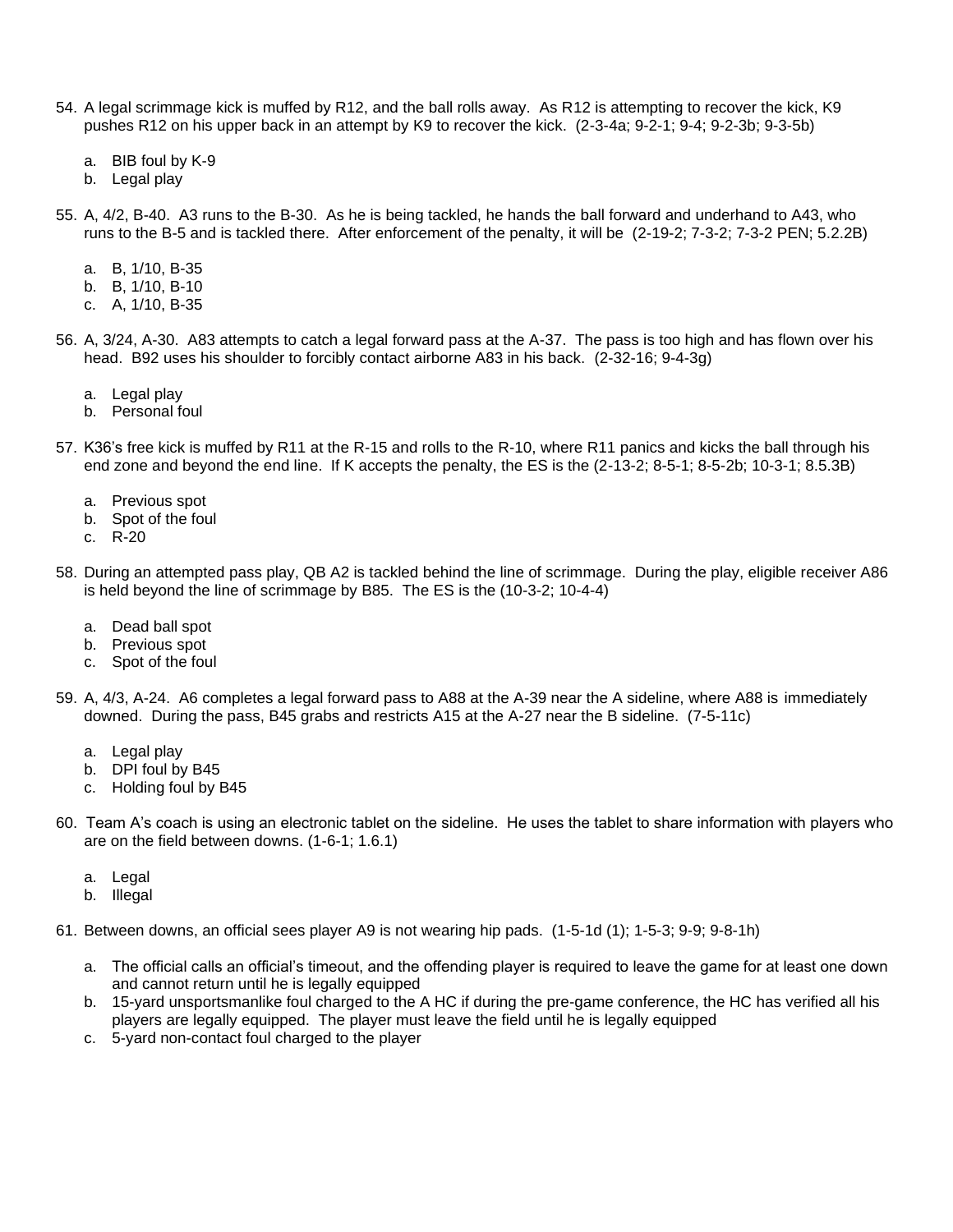- 54. A legal scrimmage kick is muffed by R12, and the ball rolls away. As R12 is attempting to recover the kick, K9 pushes R12 on his upper back in an attempt by K9 to recover the kick. (2-3-4a; 9-2-1; 9-4; 9-2-3b; 9-3-5b)
	- a. BIB foul by K-9
	- b. Legal play
- 55. A, 4/2, B-40. A3 runs to the B-30. As he is being tackled, he hands the ball forward and underhand to A43, who runs to the B-5 and is tackled there. After enforcement of the penalty, it will be (2-19-2; 7-3-2; 7-3-2 PEN; 5.2.2B)
	- a. B, 1/10, B-35
	- b. B, 1/10, B-10
	- c. A, 1/10, B-35
- 56. A, 3/24, A-30. A83 attempts to catch a legal forward pass at the A-37. The pass is too high and has flown over his head. B92 uses his shoulder to forcibly contact airborne A83 in his back. (2-32-16; 9-4-3g)
	- a. Legal play
	- b. Personal foul
- 57. K36's free kick is muffed by R11 at the R-15 and rolls to the R-10, where R11 panics and kicks the ball through his end zone and beyond the end line. If K accepts the penalty, the ES is the (2-13-2; 8-5-1; 8-5-2b; 10-3-1; 8.5.3B)
	- a. Previous spot
	- b. Spot of the foul
	- c. R-20
- 58. During an attempted pass play, QB A2 is tackled behind the line of scrimmage. During the play, eligible receiver A86 is held beyond the line of scrimmage by B85. The ES is the (10-3-2; 10-4-4)
	- a. Dead ball spot
	- b. Previous spot
	- c. Spot of the foul
- 59. A, 4/3, A-24. A6 completes a legal forward pass to A88 at the A-39 near the A sideline, where A88 is immediately downed. During the pass, B45 grabs and restricts A15 at the A-27 near the B sideline. (7-5-11c)
	- a. Legal play
	- b. DPI foul by B45
	- c. Holding foul by B45
- 60. Team A's coach is using an electronic tablet on the sideline. He uses the tablet to share information with players who are on the field between downs. (1-6-1; 1.6.1)
	- a. Legal
	- b. Illegal
- 61. Between downs, an official sees player A9 is not wearing hip pads. (1-5-1d (1); 1-5-3; 9-9; 9-8-1h)
	- a. The official calls an official's timeout, and the offending player is required to leave the game for at least one down and cannot return until he is legally equipped
	- b. 15-yard unsportsmanlike foul charged to the A HC if during the pre-game conference, the HC has verified all his players are legally equipped. The player must leave the field until he is legally equipped
	- c. 5-yard non-contact foul charged to the player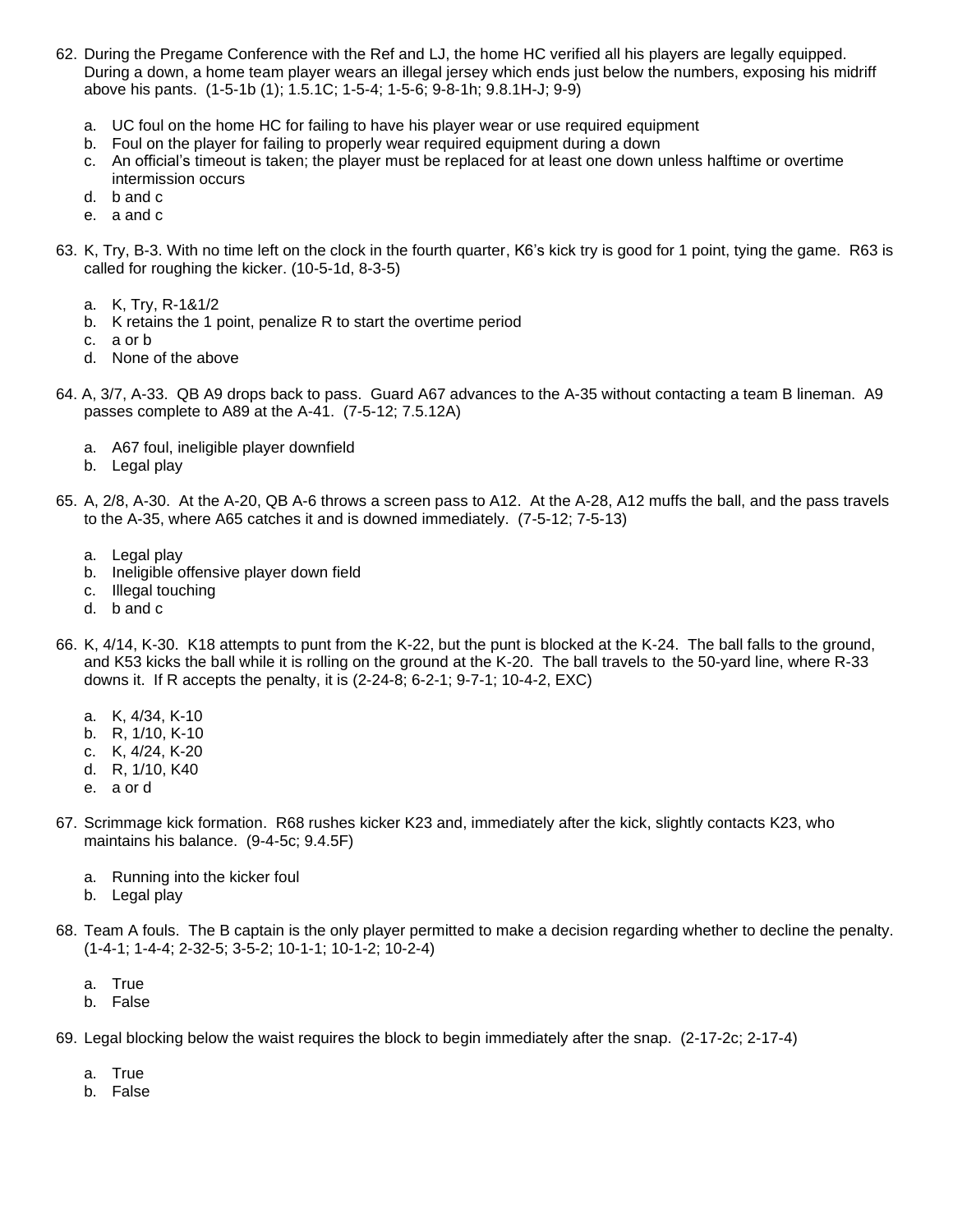- 62. During the Pregame Conference with the Ref and LJ, the home HC verified all his players are legally equipped. During a down, a home team player wears an illegal jersey which ends just below the numbers, exposing his midriff above his pants. (1-5-1b (1); 1.5.1C; 1-5-4; 1-5-6; 9-8-1h; 9.8.1H-J; 9-9)
	- a. UC foul on the home HC for failing to have his player wear or use required equipment
	- b. Foul on the player for failing to properly wear required equipment during a down
	- c. An official's timeout is taken; the player must be replaced for at least one down unless halftime or overtime intermission occurs
	- d. b and c
	- e. a and c
- 63. K, Try, B-3. With no time left on the clock in the fourth quarter, K6's kick try is good for 1 point, tying the game. R63 is called for roughing the kicker. (10-5-1d, 8-3-5)
	- a. K, Try, R-1&1/2
	- b. K retains the 1 point, penalize R to start the overtime period
	- c. a or b
	- d. None of the above
- 64. A, 3/7, A-33. QB A9 drops back to pass. Guard A67 advances to the A-35 without contacting a team B lineman. A9 passes complete to A89 at the A-41. (7-5-12; 7.5.12A)
	- a. A67 foul, ineligible player downfield
	- b. Legal play
- 65. A, 2/8, A-30. At the A-20, QB A-6 throws a screen pass to A12. At the A-28, A12 muffs the ball, and the pass travels to the A-35, where A65 catches it and is downed immediately. (7-5-12; 7-5-13)
	- a. Legal play
	- b. Ineligible offensive player down field
	- c. Illegal touching
	- d. b and c
- 66. K, 4/14, K-30. K18 attempts to punt from the K-22, but the punt is blocked at the K-24. The ball falls to the ground, and K53 kicks the ball while it is rolling on the ground at the K-20. The ball travels to the 50-yard line, where R-33 downs it. If R accepts the penalty, it is (2-24-8; 6-2-1; 9-7-1; 10-4-2, EXC)
	- a. K, 4/34, K-10
	- b. R, 1/10, K-10
	- c. K, 4/24, K-20
	- d. R, 1/10, K40
	- e. a or d
- 67. Scrimmage kick formation. R68 rushes kicker K23 and, immediately after the kick, slightly contacts K23, who maintains his balance. (9-4-5c; 9.4.5F)
	- a. Running into the kicker foul
	- b. Legal play
- 68. Team A fouls. The B captain is the only player permitted to make a decision regarding whether to decline the penalty. (1-4-1; 1-4-4; 2-32-5; 3-5-2; 10-1-1; 10-1-2; 10-2-4)
	- a. True
	- b. False
- 69. Legal blocking below the waist requires the block to begin immediately after the snap. (2-17-2c; 2-17-4)
	- a. True
	- b. False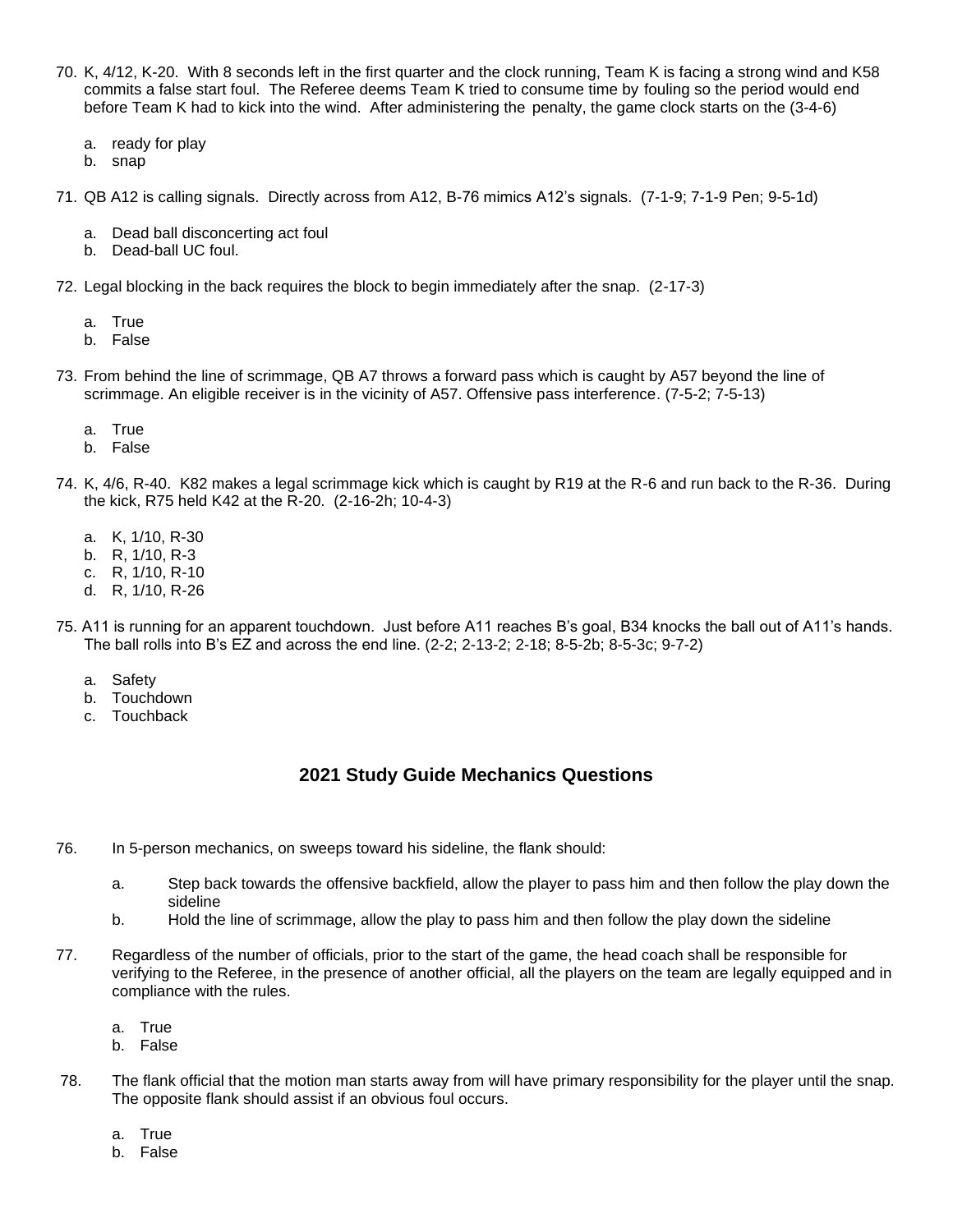- 70. K, 4/12, K-20. With 8 seconds left in the first quarter and the clock running, Team K is facing a strong wind and K58 commits a false start foul. The Referee deems Team K tried to consume time by fouling so the period would end before Team K had to kick into the wind. After administering the penalty, the game clock starts on the (3-4-6)
	- a. ready for play
	- b. snap
- 71. QB A12 is calling signals. Directly across from A12, B-76 mimics A12's signals. (7-1-9; 7-1-9 Pen; 9-5-1d)
	- a. Dead ball disconcerting act foul
	- b. Dead-ball UC foul.
- 72. Legal blocking in the back requires the block to begin immediately after the snap. (2-17-3)
	- a. True
	- b. False
- 73. From behind the line of scrimmage, QB A7 throws a forward pass which is caught by A57 beyond the line of scrimmage. An eligible receiver is in the vicinity of A57. Offensive pass interference. (7-5-2; 7-5-13)
	- a. True
	- b. False
- 74. K, 4/6, R-40. K82 makes a legal scrimmage kick which is caught by R19 at the R-6 and run back to the R-36. During the kick, R75 held K42 at the R-20. (2-16-2h; 10-4-3)
	- a. K, 1/10, R-30
	- b. R, 1/10, R-3
	- c. R, 1/10, R-10
	- d. R, 1/10, R-26
- 75. A11 is running for an apparent touchdown. Just before A11 reaches B's goal, B34 knocks the ball out of A11's hands. The ball rolls into B's EZ and across the end line. (2-2; 2-13-2; 2-18; 8-5-2b; 8-5-3c; 9-7-2)
	- a. Safety
	- b. Touchdown
	- c. Touchback

## **2021 Study Guide Mechanics Questions**

- 76. In 5-person mechanics, on sweeps toward his sideline, the flank should:
	- a. Step back towards the offensive backfield, allow the player to pass him and then follow the play down the sideline
	- b. Hold the line of scrimmage, allow the play to pass him and then follow the play down the sideline
- 77. Regardless of the number of officials, prior to the start of the game, the head coach shall be responsible for verifying to the Referee, in the presence of another official, all the players on the team are legally equipped and in compliance with the rules.
	- a. True
	- b. False
- 78. The flank official that the motion man starts away from will have primary responsibility for the player until the snap. The opposite flank should assist if an obvious foul occurs.
	- a. True
	- b. False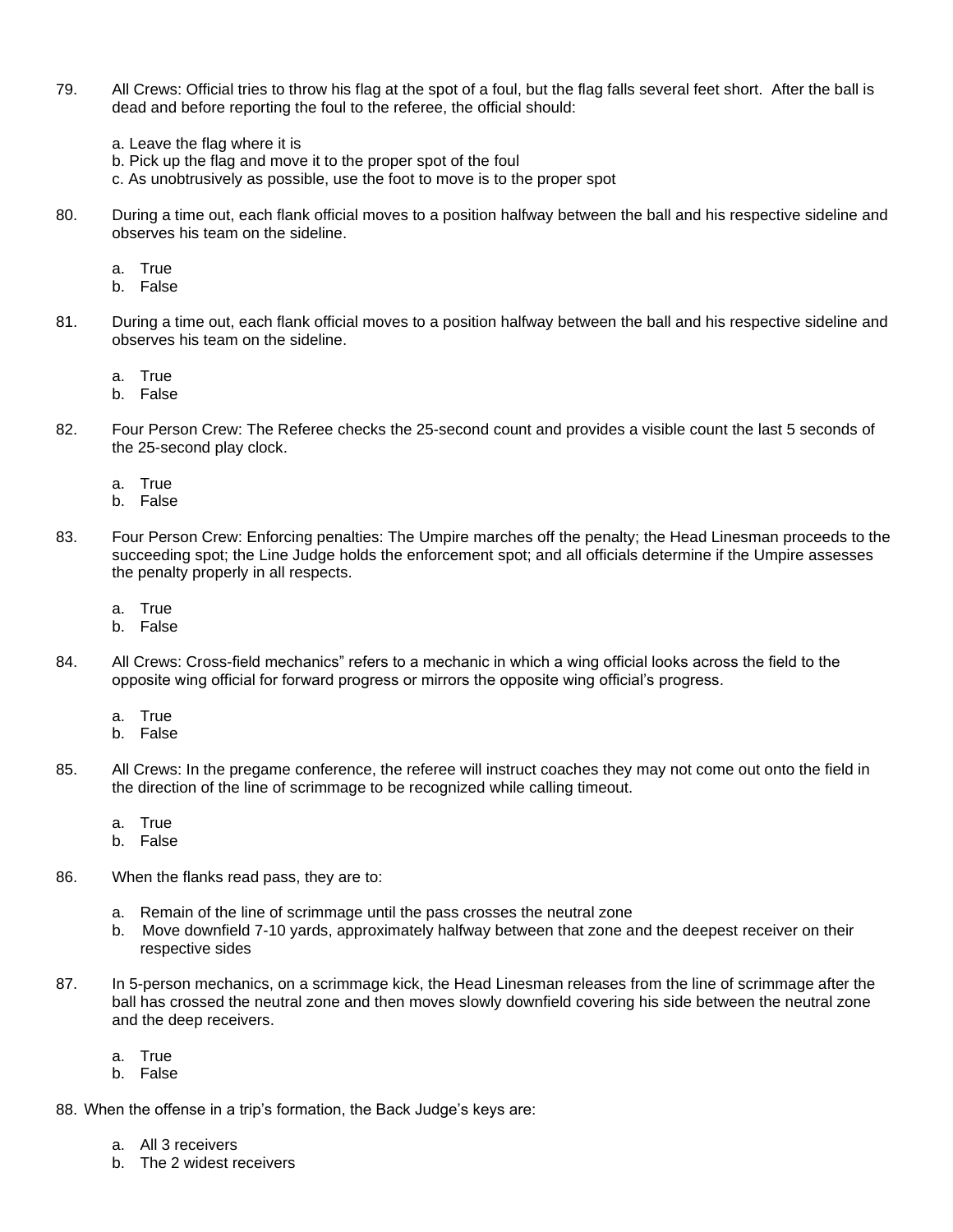- 79. All Crews: Official tries to throw his flag at the spot of a foul, but the flag falls several feet short. After the ball is dead and before reporting the foul to the referee, the official should:
	- a. Leave the flag where it is
	- b. Pick up the flag and move it to the proper spot of the foul
	- c. As unobtrusively as possible, use the foot to move is to the proper spot
- 80. During a time out, each flank official moves to a position halfway between the ball and his respective sideline and observes his team on the sideline.
	- a. True
	- b. False
- 81. During a time out, each flank official moves to a position halfway between the ball and his respective sideline and observes his team on the sideline.
	- a. True
	- b. False
- 82. Four Person Crew: The Referee checks the 25-second count and provides a visible count the last 5 seconds of the 25-second play clock.
	- a. True
	- b. False
- 83. Four Person Crew: Enforcing penalties: The Umpire marches off the penalty; the Head Linesman proceeds to the succeeding spot; the Line Judge holds the enforcement spot; and all officials determine if the Umpire assesses the penalty properly in all respects.
	- a. True
	- b. False
- 84. All Crews: Cross-field mechanics" refers to a mechanic in which a wing official looks across the field to the opposite wing official for forward progress or mirrors the opposite wing official's progress.
	- a. True
	- b. False
- 85. All Crews: In the pregame conference, the referee will instruct coaches they may not come out onto the field in the direction of the line of scrimmage to be recognized while calling timeout.
	- a. True
	- b. False
- 86. When the flanks read pass, they are to:
	- a. Remain of the line of scrimmage until the pass crosses the neutral zone
	- b. Move downfield 7-10 yards, approximately halfway between that zone and the deepest receiver on their respective sides
- 87. In 5-person mechanics, on a scrimmage kick, the Head Linesman releases from the line of scrimmage after the ball has crossed the neutral zone and then moves slowly downfield covering his side between the neutral zone and the deep receivers.
	- a. True
	- b. False

88. When the offense in a trip's formation, the Back Judge's keys are:

- a. All 3 receivers
- b. The 2 widest receivers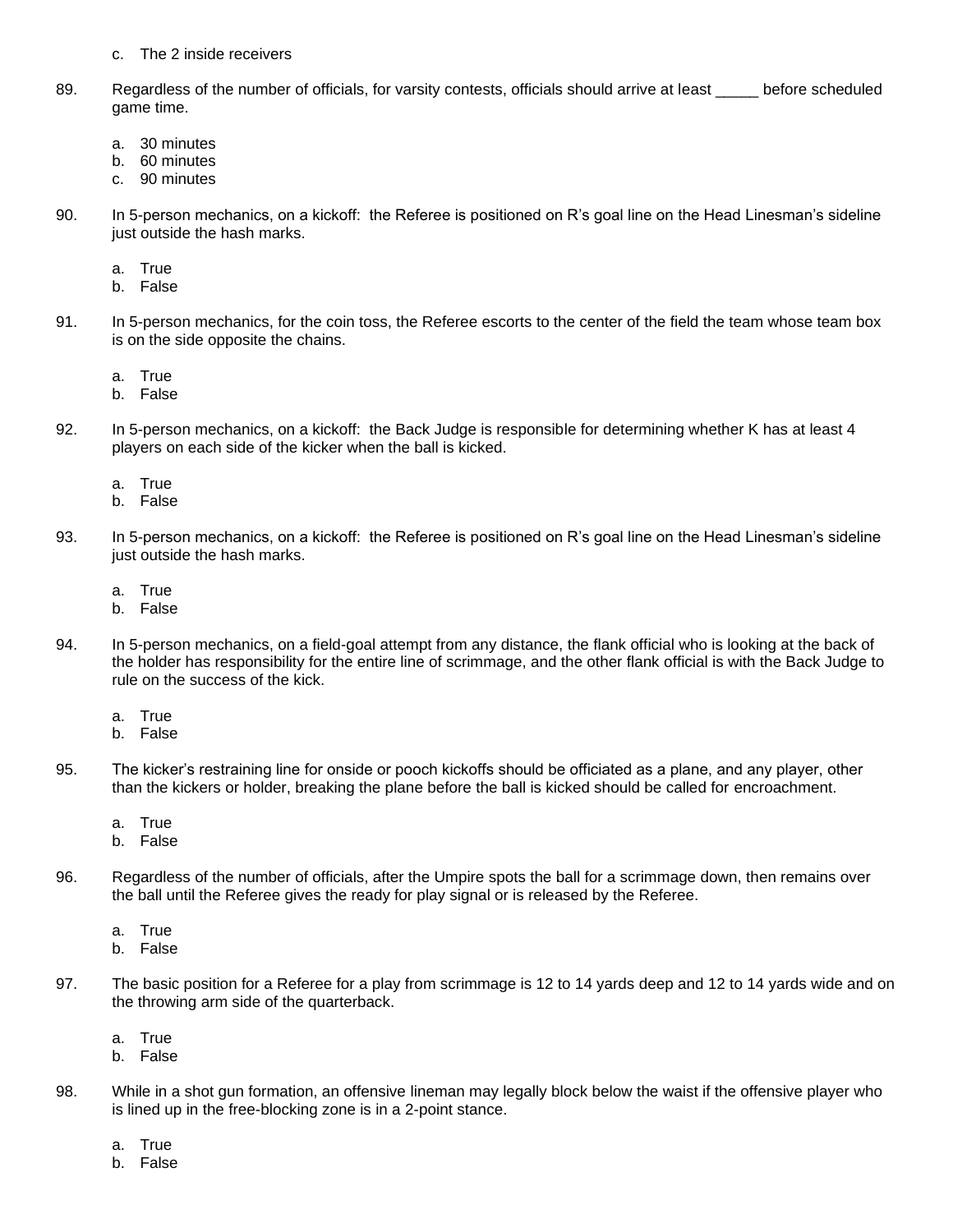- c. The 2 inside receivers
- 89. Regardless of the number of officials, for varsity contests, officials should arrive at least before scheduled game time.
	- a. 30 minutes
	- b. 60 minutes
	- c. 90 minutes
- 90. In 5-person mechanics, on a kickoff: the Referee is positioned on R's goal line on the Head Linesman's sideline just outside the hash marks.
	- a. True
	- b. False
- 91. In 5-person mechanics, for the coin toss, the Referee escorts to the center of the field the team whose team box is on the side opposite the chains.
	- a. True
	- b. False
- 92. In 5-person mechanics, on a kickoff: the Back Judge is responsible for determining whether K has at least 4 players on each side of the kicker when the ball is kicked.
	- a. True
	- b. False
- 93. In 5-person mechanics, on a kickoff: the Referee is positioned on R's goal line on the Head Linesman's sideline just outside the hash marks.
	- a. True
	- b. False
- 94. In 5-person mechanics, on a field-goal attempt from any distance, the flank official who is looking at the back of the holder has responsibility for the entire line of scrimmage, and the other flank official is with the Back Judge to rule on the success of the kick.
	- a. True
	- b. False
- 95. The kicker's restraining line for onside or pooch kickoffs should be officiated as a plane, and any player, other than the kickers or holder, breaking the plane before the ball is kicked should be called for encroachment.
	- a. True
	- b. False
- 96. Regardless of the number of officials, after the Umpire spots the ball for a scrimmage down, then remains over the ball until the Referee gives the ready for play signal or is released by the Referee.
	- a. True
	- b. False
- 97. The basic position for a Referee for a play from scrimmage is 12 to 14 yards deep and 12 to 14 yards wide and on the throwing arm side of the quarterback.
	- a. True
	- b. False
- 98. While in a shot gun formation, an offensive lineman may legally block below the waist if the offensive player who is lined up in the free-blocking zone is in a 2-point stance.
	- a. True
	- b. False